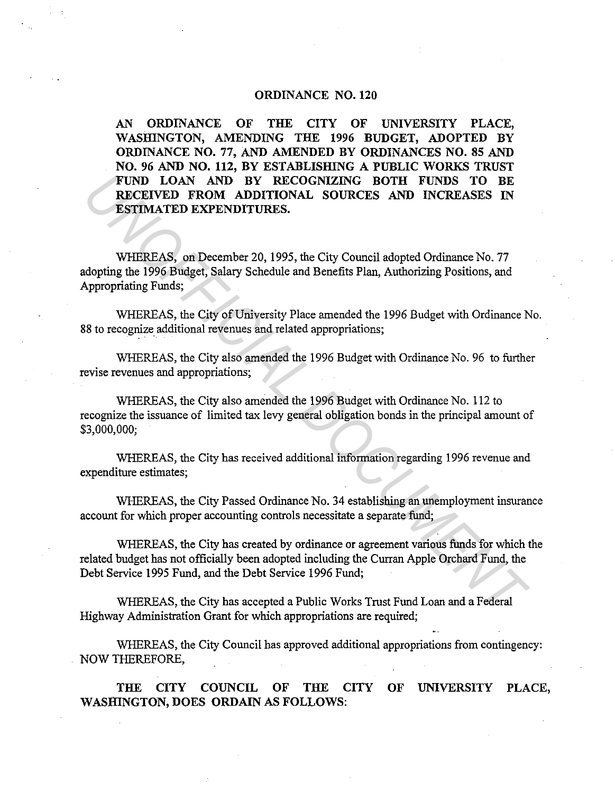## ORDINANCE NO. 120

AN ORDINANCE OF THE CITY OF UNIVERSITY PLACE, WASHINGTON, AMENDING THE 1996 BUDGET, ADOPTED BY ORDINANCE NO. 77, AND AMENDED BY ORDINANCES NO. 85 AND NO. 96 AND NO. 112, BY ESTABLISHING A PUBLIC WORKS TRUST FUND LOAN AND BY RECOGNIZING BOTH FUNDS TO BE RECEIVED FROM ADDITIONAL SOURCES AND INCREASES IN ESTIMATED EXPENDITURES. **FUND LOAN AND BY RECOGNIZING BOTH FUNDS TO BE RECEIVED FROM ADDITIONAL SOURCES AND INCREASES IN ESTIMATED EXPENDITIONAL SOURCES AND INCREASES IN WHEREAS, on December 20, 1995, the City Council adopted Ordinance No. 77 WHE** 

WHEREAS, on December 20, 1995, the City Council adopted Ordinance No. 77 adopting the 1996 Budget, Salary Schedule and Benefits Plan, Authorizing Positions, and Appropriating Funds;

WHEREAS, the City of University Place amended the 1996 Budget with Ordinance No. 88 to recognize additional revenues and related appropriations;

WHEREAS, the City also amended the 1996 Budget with Ordinance No. 96 to further revise revenues and appropriations;

WHEREAS, the City also amended the 1996 Budget with Ordinance No. 112 to recognize the issuance of limited tax levy general obligation bonds in the principal amount of \$3,000,000;

WHEREAS, the City has received additional information regarding 1996 revenue and expenditure estimates;

WHEREAS, the City Passed Ordinance No. 34 establishing an unemployment insurance account for which proper accounting controls necessitate a separate fund;

WHEREAS, the City has created by ordinance or agreement various funds for which the related budget has not officially been adopted including the Curran Apple Orchard Fund, the Debt Service 1995 Fund, and the Debt Service 1996 Fund;

WHEREAS, the City has accepted a Public Works Trust Fund Loan and a Federal Highway Administration Grant for which appropriations are required;

WHEREAS, the City Council has approved additional appropriations from contingency: NOW THEREFORE,

THE CITY COUNCIL OF THE CITY OF UNIVERSITY PLACE, WASHINGTON, DOES ORDAIN AS FOLLOWS: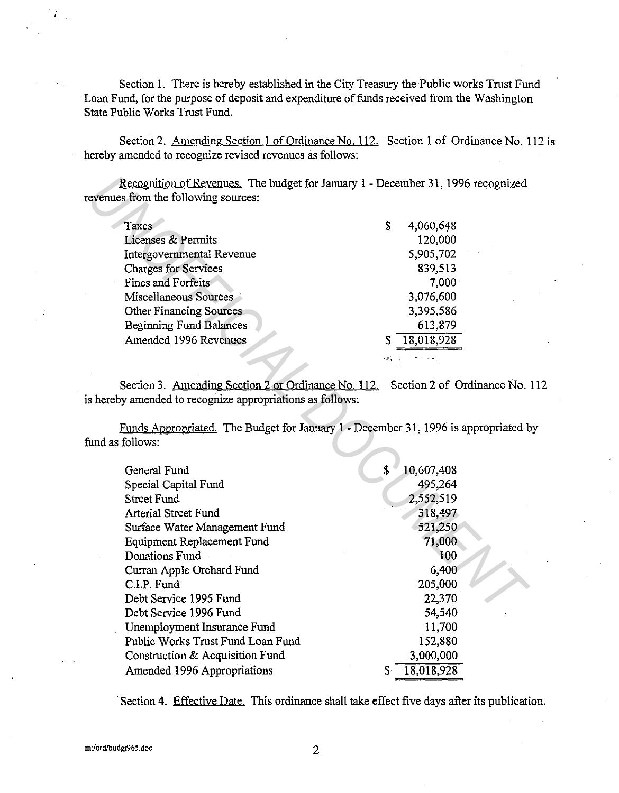Section 1. There is hereby established in the City Treasury the Public works Trust Fund Loan Fund, for the purpose of deposit and expenditure of funds received from the Washington State Public Works Trust Fund.

Section 2. Amending Section 1 of Ordinance No. 112. Section 1 of Ordinance No. 112 is hereby amended to recognize revised revenues as follows:

| Taxes                          | 4,060,648<br>S |
|--------------------------------|----------------|
| <b>Licenses &amp; Permits</b>  | 120,000        |
| Intergovernmental Revenue      | 5,905,702      |
| <b>Charges for Services</b>    | 839,513        |
| Fines and Forfeits             | 7,000          |
| Miscellaneous Sources          | 3,076,600      |
| <b>Other Financing Sources</b> | 3,395,586      |
| <b>Beginning Fund Balances</b> | 613,879        |
| Amended 1996 Revenues          | 18,018,928     |
|                                |                |

Section 3. Amending Section 2 or Ordinance No. 112. Section 2 of Ordinance No. 112 is hereby amended to recognize appropriations as follows:

| Recognition of Revenues. The budget for January 1 - December 31, 1996 recognized   |                  |
|------------------------------------------------------------------------------------|------------------|
| evenues from the following sources:                                                |                  |
|                                                                                    |                  |
| Taxes                                                                              | S<br>4,060,648   |
| <b>Licenses &amp; Permits</b>                                                      | 120,000          |
| Intergovernmental Revenue                                                          | 5,905,702        |
| <b>Charges for Services</b>                                                        | 839,513          |
| <b>Fines and Forfeits</b>                                                          | 7,000            |
| Miscellaneous Sources                                                              | 3,076,600        |
| <b>Other Financing Sources</b>                                                     | 3,395,586        |
| <b>Beginning Fund Balances</b>                                                     | 613,879          |
| Amended 1996 Revenues                                                              | 18,018,928<br>S  |
|                                                                                    |                  |
|                                                                                    |                  |
| Section 3. Amending Section 2 or Ordinance No. 112. Section 2 of Ordinance No.     |                  |
| s hereby amended to recognize appropriations as follows:                           |                  |
|                                                                                    |                  |
| Funds Appropriated. The Budget for January 1 - December 31, 1996 is appropriated b |                  |
| und as follows:                                                                    |                  |
|                                                                                    |                  |
| General Fund                                                                       | \$<br>10,607,408 |
| Special Capital Fund                                                               | 495,264          |
| <b>Street Fund</b>                                                                 | 2,552,519        |
| <b>Arterial Street Fund</b>                                                        | 318,497          |
| Surface Water Management Fund                                                      | 521,250          |
| <b>Equipment Replacement Fund</b>                                                  | 71,000           |
| Donations Fund                                                                     | 100              |
| Curran Apple Orchard Fund                                                          | 6,400            |
| C.I.P. Fund                                                                        | 205,000          |
| Debt Service 1995 Fund                                                             | 22,370           |
| Debt Service 1996 Fund                                                             | 54,540           |
| Unemployment Insurance Fund                                                        | 11,700           |
| Public Works Trust Fund Loan Fund                                                  | 152,880          |
| Construction & Acquisition Fund                                                    | 3,000,000        |
|                                                                                    |                  |
| Amended 1996 Appropriations                                                        | 18,018,928<br>\$ |

Section 4. Effective Date. This ordinance shall take effect five days after its publication.